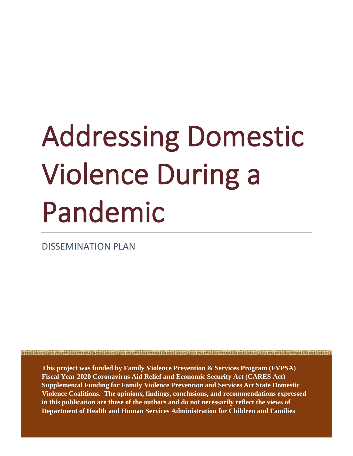# Addressing Domestic Violence During a Pandemic

DISSEMINATION PLAN

**This project was funded by Family Violence Prevention & Services Program (FVPSA) Fiscal Year 2020 Coronavirus Aid Relief and Economic Security Act (CARES Act) Supplemental Funding for Family Violence Prevention and Services Act State Domestic Violence Coalitions. The opinions, findings, conclusions, and recommendations expressed in this publication are those of the authors and do not necessarily reflect the views of Department of Health and Human Services Administration for Children and Families**

<u> 1989 - De Berlin Berlin Berlin Berlin Berlin Berlin Berlin Berlin Berlin Berlin Berlin Berlin Berlin Berlin Berlin Berlin Berlin Berlin Berlin Berlin Berlin Berlin Berlin Berlin Berlin Berlin Berlin Berlin Berlin Berlin </u>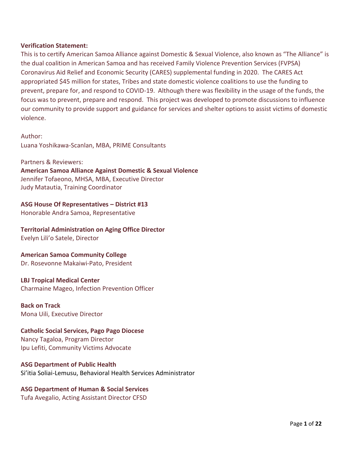### **Verification Statement:**

This is to certify American Samoa Alliance against Domestic & Sexual Violence, also known as "The Alliance" is the dual coalition in American Samoa and has received Family Violence Prevention Services (FVPSA) Coronavirus Aid Relief and Economic Security (CARES) supplemental funding in 2020. The CARES Act appropriated \$45 million for states, Tribes and state domestic violence coalitions to use the funding to prevent, prepare for, and respond to COVID-19. Although there was flexibility in the usage of the funds, the focus was to prevent, prepare and respond. This project was developed to promote discussions to influence our community to provide support and guidance for services and shelter options to assist victims of domestic violence.

Author: Luana Yoshikawa-Scanlan, MBA, PRIME Consultants

Partners & Reviewers: **American Samoa Alliance Against Domestic & Sexual Violence** Jennifer Tofaeono, MHSA, MBA, Executive Director Judy Matautia, Training Coordinator

**ASG House Of Representatives – District #13**

Honorable Andra Samoa, Representative

**Territorial Administration on Aging Office Director**

Evelyn Lili'o Satele, Director

### **American Samoa Community College**

Dr. Rosevonne Makaiwi-Pato, President

### **LBJ Tropical Medical Center**

Charmaine Mageo, Infection Prevention Officer

### **Back on Track**

Mona Uili, Executive Director

### **Catholic Social Services, Pago Pago Diocese**

Nancy Tagaloa, Program Director Ipu Lefiti, Community Victims Advocate

### **ASG Department of Public Health**

Si'itia Soliai-Lemusu, Behavioral Health Services Administrator

### **ASG Department of Human & Social Services**

Tufa Avegalio, Acting Assistant Director CFSD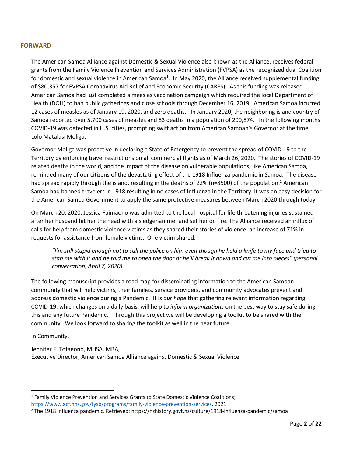### **FORWARD**

The American Samoa Alliance against Domestic & Sexual Violence also known as the Alliance, receives federal grants from the Family Violence Prevention and Services Administration (FVPSA) as the recognized dual Coalition for domestic and sexual violence in American Samoa<sup>1</sup>. In May 2020, the Alliance received supplemental funding of \$80,357 for FVPSA Coronavirus Aid Relief and Economic Security (CARES). As this funding was released American Samoa had just completed a measles vaccination campaign which required the local Department of Health (DOH) to ban public gatherings and close schools through December 16, 2019. American Samoa incurred 12 cases of measles as of January 19, 2020, and zero deaths. In January 2020, the neighboring island country of Samoa reported over 5,700 cases of measles and 83 deaths in a population of 200,874. In the following months COVID-19 was detected in U.S. cities, prompting swift action from American Samoan's Governor at the time, Lolo Matalasi Moliga.

Governor Moliga was proactive in declaring a State of Emergency to prevent the spread of COVID-19 to the Territory by enforcing travel restrictions on all commercial flights as of March 26, 2020. The stories of COVID-19 related deaths in the world, and the impact of the disease on vulnerable populations, like American Samoa, reminded many of our citizens of the devastating effect of the 1918 Influenza pandemic in Samoa. The disease had spread rapidly through the island, resulting in the deaths of 22% (n=8500) of the population.<sup>2</sup> American Samoa had banned travelers in 1918 resulting in no cases of Influenza in the Territory. It was an easy decision for the American Samoa Government to apply the same protective measures between March 2020 through today.

On March 20, 2020, Jessica Fuimaono was admitted to the local hospital for life threatening injuries sustained after her husband hit her the head with a sledgehammer and set her on fire. The Alliance received an influx of calls for help from domestic violence victims as they shared their stories of violence: an increase of 71% in requests for assistance from female victims. One victim shared:

*"I'm still stupid enough not to call the police on him even though he held a knife to my face and tried to stab me with it and he told me to open the door or he'll break it down and cut me into pieces" (personal conversation, April 7, 2020).* 

The following manuscript provides a road map for disseminating information to the American Samoan community that will help victims, their families, service providers, and community advocates prevent and address domestic violence during a Pandemic. It is *our hope* that gathering relevant information regarding COVID-19, which changes on a daily basis, will help to *inform organizations* on the best way to stay safe during this and any future Pandemic. Through this project we will be developing a toolkit to be shared with the community. We look forward to sharing the toolkit as well in the near future.

In Community,

Jennifer F. Tofaeono, MHSA, MBA, Executive Director, American Samoa Alliance against Domestic & Sexual Violence

<sup>&</sup>lt;sup>1</sup> Family Violence Prevention and Services Grants to State Domestic Violence Coalitions; [https://www.acf.hhs.gov/fysb/programs/family-violence-prevention-services,](https://www.acf.hhs.gov/fysb/programs/family-violence-prevention-services) 2021.

<sup>2</sup> The 1918 Influenza pandemic. Retrieved: https://nzhistory.govt.nz/culture/1918-influenza-pandemic/samoa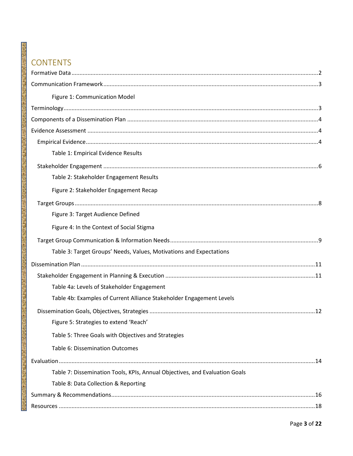### **CONTENTS**

瞿花

a a shirika wakata wakati wakati wakati ya kata wakati ya mata wakati ya kata wakati ya kata wakati ya kata wa

| Figure 1: Communication Model                                               |
|-----------------------------------------------------------------------------|
|                                                                             |
|                                                                             |
|                                                                             |
|                                                                             |
| Table 1: Empirical Evidence Results                                         |
|                                                                             |
| Table 2: Stakeholder Engagement Results                                     |
| Figure 2: Stakeholder Engagement Recap                                      |
|                                                                             |
| Figure 3: Target Audience Defined                                           |
| Figure 4: In the Context of Social Stigma                                   |
|                                                                             |
| Table 3: Target Groups' Needs, Values, Motivations and Expectations         |
|                                                                             |
|                                                                             |
| Table 4a: Levels of Stakeholder Engagement                                  |
| Table 4b: Examples of Current Alliance Stakeholder Engagement Levels        |
|                                                                             |
| Figure 5: Strategies to extend 'Reach'                                      |
| Table 5: Three Goals with Objectives and Strategies                         |
| Table 6: Dissemination Outcomes                                             |
|                                                                             |
| Table 7: Dissemination Tools, KPIs, Annual Objectives, and Evaluation Goals |
| Table 8: Data Collection & Reporting                                        |
|                                                                             |
|                                                                             |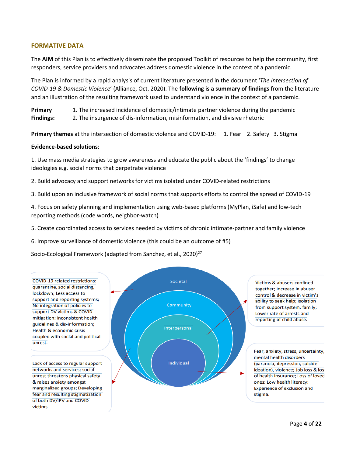### **FORMATIVE DATA**

The **AIM** of this Plan is to effectively disseminate the proposed Toolkit of resources to help the community, first responders, service providers and advocates address domestic violence in the context of a pandemic.

The Plan is informed by a rapid analysis of current literature presented in the document '*The Intersection of COVID-19 & Domestic Violence*' (Alliance, Oct. 2020). The **following is a summary of findings** from the literature and an illustration of the resulting framework used to understand violence in the context of a pandemic.

**Primary** 1. The increased incidence of domestic/intimate partner violence during the pandemic **Findings:** 2. The insurgence of dis-information, misinformation, and divisive rhetoric

**Primary themes** at the intersection of domestic violence and COVID-19: 1. Fear 2. Safety 3. Stigma

#### **Evidence-based solutions**:

of both DV/IPV and COVID

victims.

1. Use mass media strategies to grow awareness and educate the public about the 'findings' to change ideologies e.g. social norms that perpetrate violence

2. Build advocacy and support networks for victims isolated under COVID-related restrictions

3. Build upon an inclusive framework of social norms that supports efforts to control the spread of COVID-19

4. Focus on safety planning and implementation using web-based platforms (MyPlan, iSafe) and low-tech reporting methods (code words, neighbor-watch)

5. Create coordinated access to services needed by victims of chronic intimate-partner and family violence

6. Improve surveillance of domestic violence (this could be an outcome of #5)

Socio-Ecological Framework (adapted from Sanchez, et al., 2020)<sup>27</sup>

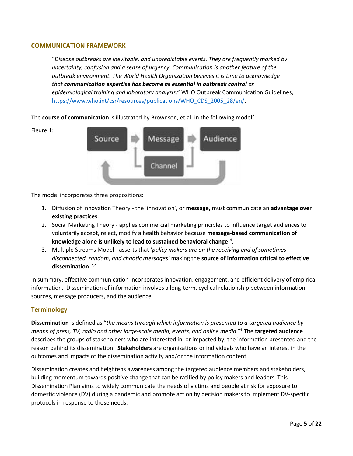### **COMMUNICATION FRAMEWORK**

"*Disease outbreaks are inevitable, and unpredictable events. They are frequently marked by uncertainty, confusion and a sense of urgency. Communication is another feature of the outbreak environment. The World Health Organization believes it is time to acknowledge that communication expertise has become as essential in outbreak control as epidemiological training and laboratory analysis*." WHO Outbreak Communication Guidelines, [https://www.who.int/csr/resources/publications/WHO\\_CDS\\_2005\\_28/en/.](https://www.who.int/csr/resources/publications/WHO_CDS_2005_28/en/)

The **course of communication** is illustrated by Brownson, et al. in the following model<sup>2</sup>:





The model incorporates three propositions:

- 1. Diffusion of Innovation Theory the 'innovation', or **message,** must communicate an **advantage over existing practices**.
- 2. Social Marketing Theory applies commercial marketing principles to influence target audiences to voluntarily accept, reject, modify a health behavior because **message-based communication of knowledge alone is unlikely to lead to sustained behavioral change**<sup>14</sup> .
- 3. Multiple Streams Model asserts that '*policy makers are on the receiving end of sometimes disconnected, random, and chaotic messages*' making the **source of information critical to effective**  dissemination<sup>17,21</sup>.

In summary, effective communication incorporates innovation, engagement, and efficient delivery of empirical information. Dissemination of information involves a long-term, cyclical relationship between information sources, message producers, and the audience.

### **Terminology**

**Dissemination** is defined as "*the means through which information is presented to a targeted audience by means of press, TV, radio and other large-scale media, events, and online media*."<sup>6</sup> The **targeted audience**  describes the groups of stakeholders who are interested in, or impacted by, the information presented and the reason behind its dissemination. **Stakeholders** are organizations or individuals who have an interest in the outcomes and impacts of the dissemination activity and/or the information content.

Dissemination creates and heightens awareness among the targeted audience members and stakeholders, building momentum towards positive change that can be ratified by policy makers and leaders. This Dissemination Plan aims to widely communicate the needs of victims and people at risk for exposure to domestic violence (DV) during a pandemic and promote action by decision makers to implement DV-specific protocols in response to those needs.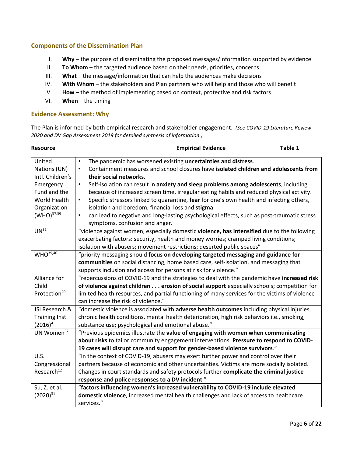### **Components of the Dissemination Plan**

- I. **Why** the purpose of disseminating the proposed messages/information supported by evidence
- II. **To Whom** the targeted audience based on their needs, priorities, concerns
- III. **What** the message/information that can help the audiences make decisions
- IV. **With Whom** the stakeholders and Plan partners who will help and those who will benefit
- V. **How** the method of implementing based on context, protective and risk factors
- VI. **When** the timing

### **Evidence Assessment: Why**

The Plan is informed by both empirical research and stakeholder engagement. *(See COVID-19 Literature Review 2020 and DV Gap Assessment 2019 for detailed synthesis of information.)*

| <b>Resource</b>                      | <b>Empirical Evidence</b>                                                                                                                                                        | Table 1 |  |
|--------------------------------------|----------------------------------------------------------------------------------------------------------------------------------------------------------------------------------|---------|--|
| United<br>Nations (UN)               | The pandemic has worsened existing uncertainties and distress.<br>$\bullet$<br>Containment measures and school closures have isolated children and adolescents from<br>$\bullet$ |         |  |
| Intl. Children's                     | their social networks.                                                                                                                                                           |         |  |
| Emergency                            | $\bullet$<br>Self-isolation can result in anxiety and sleep problems among adolescents, including                                                                                |         |  |
| Fund and the                         | because of increased screen time, irregular eating habits and reduced physical activity.                                                                                         |         |  |
| World Health                         | Specific stressors linked to quarantine, fear for one's own health and infecting others,<br>$\bullet$                                                                            |         |  |
| Organization                         | isolation and boredom, financial loss and stigma                                                                                                                                 |         |  |
| (WHO) <sup>37.39</sup>               | can lead to negative and long-lasting psychological effects, such as post-traumatic stress<br>$\bullet$<br>symptoms, confusion and anger.                                        |         |  |
| UN <sup>32</sup>                     | "violence against women, especially domestic violence, has intensified due to the following                                                                                      |         |  |
|                                      | exacerbating factors: security, health and money worries; cramped living conditions;                                                                                             |         |  |
|                                      | isolation with abusers; movement restrictions; deserted public spaces"                                                                                                           |         |  |
| WHO <sup>39,40</sup>                 | "priority messaging should focus on developing targeted messaging and guidance for                                                                                               |         |  |
|                                      | communities on social distancing, home based care, self-isolation, and messaging that                                                                                            |         |  |
|                                      | supports inclusion and access for persons at risk for violence."                                                                                                                 |         |  |
| Alliance for                         | "repercussions of COVID-19 and the strategies to deal with the pandemic have increased risk                                                                                      |         |  |
| Child                                | of violence against children erosion of social support especially schools; competition for                                                                                       |         |  |
| Protection <sup>20</sup>             | limited health resources, and partial functioning of many services for the victims of violence                                                                                   |         |  |
|                                      | can increase the risk of violence."                                                                                                                                              |         |  |
| JSI Research &                       | "domestic violence is associated with adverse health outcomes including physical injuries,                                                                                       |         |  |
| Training Inst.                       | chronic health conditions, mental health deterioration, high risk behaviors i.e., smoking,                                                                                       |         |  |
| $(2016)^4$<br>UN Women <sup>32</sup> | substance use; psychological and emotional abuse."                                                                                                                               |         |  |
|                                      | "Previous epidemics illustrate the value of engaging with women when communicating<br>about risks to tailor community engagement interventions. Pressure to respond to COVID-    |         |  |
|                                      | 19 cases will disrupt care and support for gender-based violence survivors."                                                                                                     |         |  |
| U.S.                                 | "In the context of COVID-19, abusers may exert further power and control over their                                                                                              |         |  |
| Congressional                        | partners because of economic and other uncertainties. Victims are more socially isolated.                                                                                        |         |  |
| Research <sup>12</sup>               | Changes in court standards and safety protocols further complicate the criminal justice                                                                                          |         |  |
|                                      | response and police responses to a DV incident."                                                                                                                                 |         |  |
| Su, Z. et al.                        | "factors influencing women's increased vulnerability to COVID-19 include elevated                                                                                                |         |  |
| $(2020)^{31}$                        | domestic violence, increased mental health challenges and lack of access to healthcare                                                                                           |         |  |
|                                      | services."                                                                                                                                                                       |         |  |
|                                      |                                                                                                                                                                                  |         |  |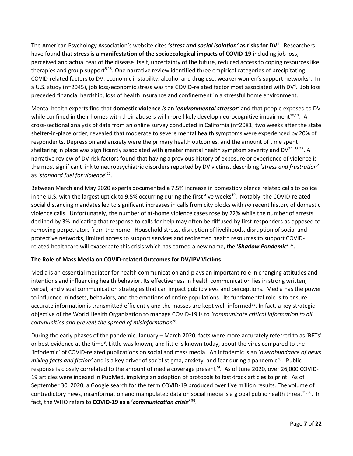The American Psychology Association's website cites **'***stress and social isolation'* **as risks for DV**<sup>1</sup> . Researchers have found that **stress is a manifestation of the socioecological impacts of COVID-19** including job loss, perceived and actual fear of the disease itself, uncertainty of the future, reduced access to coping resources like therapies and group support<sup>5,15</sup>. One narrative review identified three empirical categories of precipitating COVID-related factors to DV: economic instability, alcohol and drug use, weaker women's support networks<sup>5</sup>. In a U.S. study (n=2045), job loss/economic stress was the COVID-related factor most associated with DV<sup>4</sup>. Job loss preceded financial hardship, loss of health insurance and confinement in a stressful home environment.

Mental health experts find that **domestic violence** *is* **an '***environmental stressor'* and that people exposed to DV while confined in their homes with their abusers will more likely develop neurocognitive impairment<sup>10,11</sup>. A cross-sectional analysis of data from an online survey conducted in California (n=2081) two weeks after the state shelter-in-place order, revealed that moderate to severe mental health symptoms were experienced by 20% of respondents. Depression and anxiety were the primary health outcomes, and the amount of time spent sheltering in place was significantly associated with greater mental health symptom severity and DV $^{20,25,26}$ . A narrative review of DV risk factors found that having a previous history of exposure or experience of violence is the most significant link to neuropsychiatric disorders reported by DV victims, describing '*stress and frustration'* as '*standard fuel for violence*' 22 .

Between March and May 2020 experts documented a 7.5% increase in domestic violence related calls to police in the U.S. with the largest uptick to 9.5% occurring during the first five weeks<sup>19</sup>. Notably, the COVID-related social distancing mandates led to significant increases in calls from city blocks with *no* recent history of domestic violence calls. Unfortunately, the number of at-home violence cases rose by 22% while the number of arrests declined by 3% indicating that response to calls for help may often be diffused by first-responders as opposed to removing perpetrators from the home. Household stress, disruption of livelihoods, disruption of social and protective networks, limited access to support services and redirected health resources to support COVIDrelated healthcare will exacerbate this crisis which has earned a new name, the '*Shadow Pandemic'* <sup>32</sup> .

### **The Role of Mass Media on COVID-related Outcomes for DV/IPV Victims**

Media is an essential mediator for health communication and plays an important role in changing attitudes and intentions and influencing health behavior. Its effectiveness in health communication lies in strong written, verbal, and visual communication strategies that can impact public views and perceptions. Media has the power to influence mindsets, behaviors, and the emotions of entire populations. Its fundamental role is to ensure accurate information is transmitted efficiently and the masses are kept well-informed<sup>33</sup>. In fact, a key strategic objective of the World Health Organization to manage COVID-19 is to *'communicate critical information to all communities and prevent the spread of misinformation*' 8 .

During the early phases of the pandemic, January – March 2020, facts were more accurately referred to as 'BETs' or best evidence at the time<sup>9</sup>. Little was known, and little is known today, about the virus compared to the 'infodemic' of COVID-related publications on social and mass media. An infodemic is an '*overabundance of news mixing facts and fiction'* and is a key driver of social stigma, anxiety, and fear during a pandemic<sup>30</sup>. Public response is closely correlated to the amount of media coverage present<sup>29</sup>. As of June 2020, over 26,000 COVID-19 articles were indexed in PubMed, implying an adoption of protocols to fast-track articles to print. As of September 30, 2020, a Google search for the term COVID-19 produced over five million results. The volume of contradictory news, misinformation and manipulated data on social media is a global public health threat<sup>29,36</sup>. In fact, the WHO refers to **COVID-19 as a '***communication crisis'* <sup>39</sup> .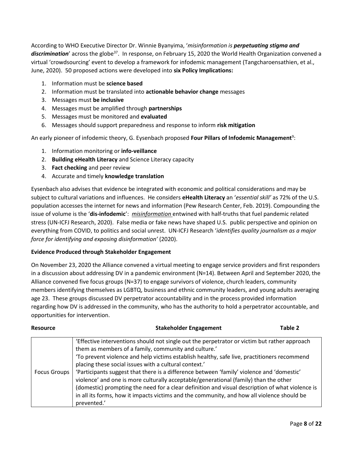According to WHO Executive Director Dr. Winnie Byanyima, '*misinformation is perpetuating stigma and*  discrimination' across the globe<sup>37</sup>. In response, on February 15, 2020 the World Health Organization convened a virtual 'crowdsourcing' event to develop a framework for infodemic management (Tangcharoensathien, et al., June, 2020). 50 proposed actions were developed into **six Policy Implications:**

- 1. Information must be **science based**
- 2. Information must be translated into **actionable behavior change** messages
- 3. Messages must **be inclusive**
- 4. Messages must be amplified through **partnerships**
- 5. Messages must be monitored and **evaluated**
- 6. Messages should support preparedness and response to inform **risk mitigation**

An early pioneer of infodemic theory, G. Eysenbach proposed Four Pillars of Infodemic Management<sup>9</sup>:

- 1. Information monitoring or **info-veillance**
- 2. **Building eHealth Literacy** and Science Literacy capacity
- 3. **Fact checking** and peer review
- 4. Accurate and timely **knowledge translation**

Eysenbach also advises that evidence be integrated with economic and political considerations and may be subject to cultural variations and influences. He considers **eHealth Literacy** an '*essential skill'* as 72% of the U.S. population accesses the internet for news and information (Pew Research Center, Feb. 2019). Compounding the issue of volume is the '**dis-infodemic**': *misinformation* entwined with half-truths that fuel pandemic related stress (UN-ICFJ Research, 2020). False media or fake news have shaped U.S. public perspective and opinion on everything from COVID, to politics and social unrest. UN-ICFJ Research '*identifies quality journalism as a major force for identifying and exposing disinformation'* (2020).

### **Evidence Produced through Stakeholder Engagement**

On November 23, 2020 the Alliance convened a virtual meeting to engage service providers and first responders in a discussion about addressing DV in a pandemic environment (N=14). Between April and September 2020, the Alliance convened five focus groups (N=37) to engage survivors of violence, church leaders, community members identifying themselves as LGBTQ, business and ethnic community leaders, and young adults averaging age 23. These groups discussed DV perpetrator accountability and in the process provided information regarding how DV is addressed in the community, who has the authority to hold a perpetrator accountable, and opportunities for intervention.

| <b>Resource</b> | <b>Stakeholder Engagement</b>                                                                                                                                                                                                                                                                                                                                                                                                                                                                                                                                                                                                                                                                      | Table 2 |
|-----------------|----------------------------------------------------------------------------------------------------------------------------------------------------------------------------------------------------------------------------------------------------------------------------------------------------------------------------------------------------------------------------------------------------------------------------------------------------------------------------------------------------------------------------------------------------------------------------------------------------------------------------------------------------------------------------------------------------|---------|
| Focus Groups    | 'Effective interventions should not single out the perpetrator or victim but rather approach<br>them as members of a family, community and culture.'<br>'To prevent violence and help victims establish healthy, safe live, practitioners recommend<br>placing these social issues with a cultural context.'<br>'Participants suggest that there is a difference between 'family' violence and 'domestic'<br>violence' and one is more culturally acceptable/generational (family) than the other<br>(domestic) prompting the need for a clear definition and visual description of what violence is<br>in all its forms, how it impacts victims and the community, and how all violence should be |         |
|                 | prevented.'                                                                                                                                                                                                                                                                                                                                                                                                                                                                                                                                                                                                                                                                                        |         |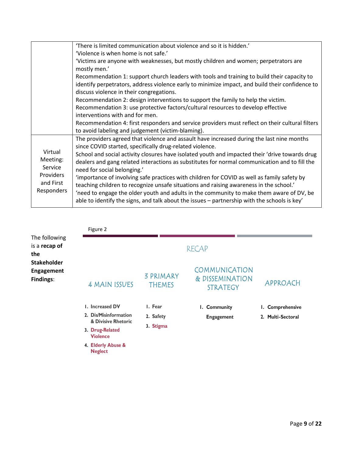|                  | 'There is limited communication about violence and so it is hidden.'                            |
|------------------|-------------------------------------------------------------------------------------------------|
|                  | 'Violence is when home is not safe.'                                                            |
|                  | 'Victims are anyone with weaknesses, but mostly children and women; perpetrators are            |
|                  | mostly men.'                                                                                    |
|                  | Recommendation 1: support church leaders with tools and training to build their capacity to     |
|                  | identify perpetrators, address violence early to minimize impact, and build their confidence to |
|                  | discuss violence in their congregations.                                                        |
|                  | Recommendation 2: design interventions to support the family to help the victim.                |
|                  | Recommendation 3: use protective factors/cultural resources to develop effective                |
|                  | interventions with and for men.                                                                 |
|                  | Recommendation 4: first responders and service providers must reflect on their cultural filters |
|                  | to avoid labeling and judgement (victim-blaming).                                               |
|                  | The providers agreed that violence and assault have increased during the last nine months       |
|                  | since COVID started, specifically drug-related violence.                                        |
| Virtual          | School and social activity closures have isolated youth and impacted their 'drive towards drug  |
| Meeting:         | dealers and gang related interactions as substitutes for normal communication and to fill the   |
| Service          | need for social belonging.'                                                                     |
| <b>Providers</b> | 'importance of involving safe practices with children for COVID as well as family safety by     |
| and First        | teaching children to recognize unsafe situations and raising awareness in the school.'          |
| Responders       | 'need to engage the older youth and adults in the community to make them aware of DV, be        |
|                  | able to identify the signs, and talk about the issues - partnership with the schools is key'    |
|                  |                                                                                                 |

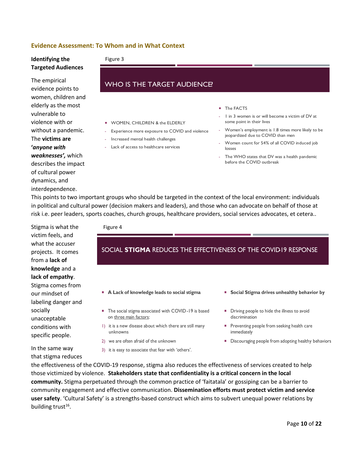### **Evidence Assessment: To Whom and in What Context**

1

## **Identifying the**

#### Figure 3

### **Targeted Audiences**

### The empirical evidence points to women, children and elderly as the most vulnerable to violence with or without a pandemic. The **victims are '***anyone with weaknesses',* which describes the impact of cultural power dynamics, and interdependence.

### **WHO IS THE TARGET AUDIENCE?**

- **WOMEN, CHILDREN & the ELDERLY**
- Experience more exposure to COVID and violence
- Increased mental health challenges .
- Lack of access to healthcare services
- The FACTS
- I in 3 women is or will become a victim of DV at . some point in their lives
- Women's employment is 1.8 times more likely to be . jeopardized due to COVID than men
- Women count for 54% of all COVID induced job .  $S$
- The WHO states that DV was a health pandemic . before the COVID outbreak

This points to two important groups who should be targeted in the context of the local environment: individuals in political and cultural power (decision makers and leaders), and those who can advocate on behalf of those at risk i.e. peer leaders, sports coaches, church groups, healthcare providers, social services advocates, et cetera..

Stigma is what the victim feels, and what the accuser projects. It comes from a **lack of knowledge** and a **lack of empathy**. Stigma comes from our mindset of labeling danger and socially unacceptable conditions with specific people.

In the same way that stigma reduces Figure 4

### SOCIAL STIGMA REDUCES THE EFFECTIVENESS OF THE COVID19 RESPONSE

- A Lack of knowledge leads to social stigma
- The social stigma associated with COVID-19 is based on three main factors:
- I) it is a new disease about which there are still many unknowns
- 2) we are often afraid of the unknown
- 3) it is easy to associate that fear with 'others'.
- **Social Stigma drives unhealthy behavior by**
- Driving people to hide the illness to avoid discrimination
- Preventing people from seeking health care immediately
- Discouraging people from adopting healthy behaviors

the effectiveness of the COVID-19 response, stigma also reduces the effectiveness of services created to help those victimized by violence. **Stakeholders state that confidentiality is a critical concern in the local community.** Stigma perpetuated through the common practice of 'faitatala' or gossiping can be a barrier to community engagement and effective communication. **Dissemination efforts must protect victim and service user safety**. 'Cultural Safety' is a strengths-based construct which aims to subvert unequal power relations by building trust<sup>16</sup>.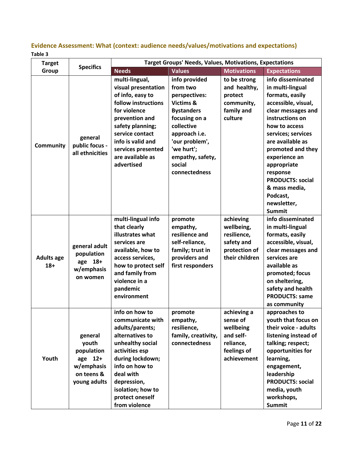### **Evidence Assessment: What (context: audience needs/values/motivations and expectations) Table 3**

| <b>Target</b>              |                                                                                       | <b>Target Groups' Needs, Values, Motivations, Expectations</b>                                                                                                                                                                            |                                                                                                                                                                                                             |                                                                                              |                                                                                                                                                                                                                                                                                                                                              |
|----------------------------|---------------------------------------------------------------------------------------|-------------------------------------------------------------------------------------------------------------------------------------------------------------------------------------------------------------------------------------------|-------------------------------------------------------------------------------------------------------------------------------------------------------------------------------------------------------------|----------------------------------------------------------------------------------------------|----------------------------------------------------------------------------------------------------------------------------------------------------------------------------------------------------------------------------------------------------------------------------------------------------------------------------------------------|
| Group                      | <b>Specifics</b>                                                                      | <b>Needs</b>                                                                                                                                                                                                                              | <b>Values</b>                                                                                                                                                                                               | <b>Motivations</b>                                                                           | <b>Expectations</b>                                                                                                                                                                                                                                                                                                                          |
| <b>Community</b>           | general<br>public focus -<br>all ethnicities                                          | multi-lingual,<br>visual presentation<br>of info, easy to<br>follow instructions<br>for violence<br>prevention and<br>safety planning;<br>service contact<br>info is valid and<br>services presented<br>are available as<br>advertised    | info provided<br>from two<br>perspectives:<br>Victims &<br><b>Bystanders</b><br>focusing on a<br>collective<br>approach i.e.<br>'our problem',<br>'we hurt';<br>empathy, safety,<br>social<br>connectedness | to be strong<br>and healthy,<br>protect<br>community,<br>family and<br>culture               | info disseminated<br>in multi-lingual<br>formats, easily<br>accessible, visual,<br>clear messages and<br>instructions on<br>how to access<br>services; services<br>are available as<br>promoted and they<br>experience an<br>appropriate<br>response<br><b>PRODUCTS: social</b><br>& mass media,<br>Podcast,<br>newsletter,<br><b>Summit</b> |
| <b>Adults age</b><br>$18+$ | general adult<br>population<br>age 18+<br>w/emphasis<br>on women                      | multi-lingual info<br>that clearly<br>illustrates what<br>services are<br>available, how to<br>access services,<br>how to protect self<br>and family from<br>violence in a<br>pandemic<br>environment                                     | promote<br>empathy,<br>resilience and<br>self-reliance,<br>family; trust in<br>providers and<br>first responders                                                                                            | achieving<br>wellbeing,<br>resilience,<br>safety and<br>protection of<br>their children      | info disseminated<br>in multi-lingual<br>formats, easily<br>accessible, visual,<br>clear messages and<br>services are<br>available as<br>promoted; focus<br>on sheltering,<br>safety and health<br><b>PRODUCTS: same</b><br>as community                                                                                                     |
| Youth                      | general<br>youth<br>population<br>age 12+<br>w/emphasis<br>on teens &<br>young adults | info on how to<br>communicate with<br>adults/parents;<br>alternatives to<br>unhealthy social<br>activities esp<br>during lockdown;<br>info on how to<br>deal with<br>depression,<br>isolation; how to<br>protect oneself<br>from violence | promote<br>empathy,<br>resilience,<br>family, creativity,<br>connectedness                                                                                                                                  | achieving a<br>sense of<br>wellbeing<br>and self-<br>reliance,<br>feelings of<br>achievement | approaches to<br>youth that focus on<br>their voice - adults<br>listening instead of<br>talking; respect;<br>opportunities for<br>learning,<br>engagement,<br>leadership<br><b>PRODUCTS: social</b><br>media, youth<br>workshops,<br><b>Summit</b>                                                                                           |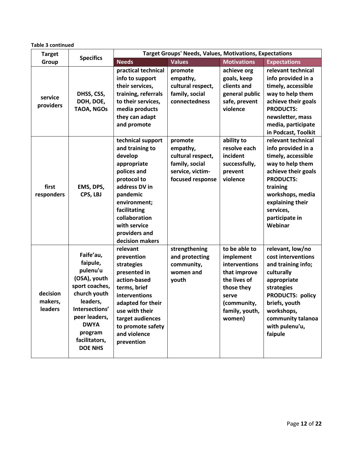| <b>Target</b>                  | <b>Specifics</b>                                                                                                                                                                                | <b>Target Groups' Needs, Values, Motivations, Expectations</b>                                                                                                                                                                 |                                                                                                    |                                                                                                                                               |                                                                                                                                                                                                                             |
|--------------------------------|-------------------------------------------------------------------------------------------------------------------------------------------------------------------------------------------------|--------------------------------------------------------------------------------------------------------------------------------------------------------------------------------------------------------------------------------|----------------------------------------------------------------------------------------------------|-----------------------------------------------------------------------------------------------------------------------------------------------|-----------------------------------------------------------------------------------------------------------------------------------------------------------------------------------------------------------------------------|
| Group                          |                                                                                                                                                                                                 | <b>Needs</b>                                                                                                                                                                                                                   | <b>Values</b>                                                                                      | <b>Motivations</b>                                                                                                                            | <b>Expectations</b>                                                                                                                                                                                                         |
| service<br>providers           | DHSS, CSS,<br>DOH, DOE,<br><b>TAOA, NGOs</b>                                                                                                                                                    | practical technical<br>info to support<br>their services,<br>training, referrals<br>to their services,<br>media products<br>they can adapt<br>and promote                                                                      | promote<br>empathy,<br>cultural respect,<br>family, social<br>connectedness                        | achieve org<br>goals, keep<br>clients and<br>general public<br>safe, prevent<br>violence                                                      | relevant technical<br>info provided in a<br>timely, accessible<br>way to help them<br>achieve their goals<br><b>PRODUCTS:</b><br>newsletter, mass<br>media, participate<br>in Podcast, Toolkit                              |
| first<br>responders            | EMS, DPS,<br>CPS, LBJ                                                                                                                                                                           | technical support<br>and training to<br>develop<br>appropriate<br>polices and<br>protocol to<br>address DV in<br>pandemic<br>environment;<br>facilitating<br>collaboration<br>with service<br>providers and<br>decision makers | promote<br>empathy,<br>cultural respect,<br>family, social<br>service, victim-<br>focused response | ability to<br>resolve each<br>incident<br>successfully,<br>prevent<br>violence                                                                | relevant technical<br>info provided in a<br>timely, accessible<br>way to help them<br>achieve their goals<br><b>PRODUCTS:</b><br>training<br>workshops, media<br>explaining their<br>services,<br>participate in<br>Webinar |
| decision<br>makers,<br>leaders | Faife'au,<br>faipule,<br>pulenu'u<br>(OSA), youth<br>sport coaches,<br>church youth<br>leaders,<br>Intersections'<br>peer leaders,<br><b>DWYA</b><br>program<br>facilitators,<br><b>DOE NHS</b> | relevant<br>prevention<br>strategies<br>presented in<br>action-based<br>terms, brief<br>interventions<br>adapted for their<br>use with their<br>target audiences<br>to promote safety<br>and violence<br>prevention            | strengthening<br>and protecting<br>community,<br>women and<br>youth                                | to be able to<br>implement<br>interventions<br>that improve<br>the lives of<br>those they<br>serve<br>(community,<br>family, youth,<br>women) | relevant, low/no<br>cost interventions<br>and training info;<br>culturally<br>appropriate<br>strategies<br><b>PRODUCTS: policy</b><br>briefs, youth<br>workshops,<br>community talanoa<br>with pulenu'u,<br>faipule         |

**Table 3 continued**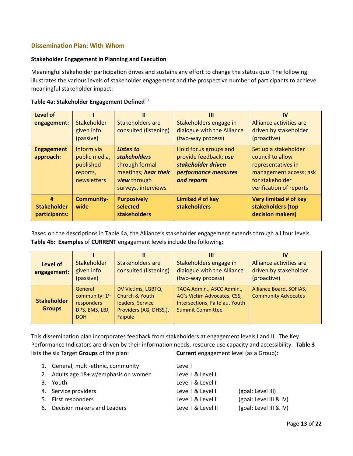### **Dissemination Plan: With Whom**

#### **Stakeholder Engagement in Planning and Execution**

Meaningful stakeholder participation drives and sustains any effort to change the status quo. The following illustrates the various levels of stakeholder engagement and the prospective number of participants to achieve meaningful stakeholder impact:

|  | Table 4a: Stakeholder Engagement Defined <sup>13</sup> |
|--|--------------------------------------------------------|
|--|--------------------------------------------------------|

| Level of<br>engagement:                  | Stakeholder<br>given info<br>(passive)                              | Stakeholders are<br>consulted (listening)                                                                                | Ш<br>Stakeholders engage in<br>dialogue with the Alliance<br>(two-way process)                                     | IV<br>Alliance activities are<br>driven by stakeholder<br>(proactive)                                                                  |
|------------------------------------------|---------------------------------------------------------------------|--------------------------------------------------------------------------------------------------------------------------|--------------------------------------------------------------------------------------------------------------------|----------------------------------------------------------------------------------------------------------------------------------------|
| <b>Engagement</b><br>approach:           | Inform via<br>public media,<br>published<br>reports,<br>newsletters | Listen to<br><b>stakeholders</b><br>through formal<br>meetings; hear their<br><b>view</b> through<br>surveys, interviews | <b>Hold focus groups and</b><br>provide feedback; use<br>stakeholder driven<br>performance measures<br>and reports | Set up a stakeholder<br>council to allow<br>representatives in<br>management access; ask<br>for stakeholder<br>verification of reports |
| #<br><b>Stakeholder</b><br>participants: | <b>Community-</b><br>wide                                           | <b>Purposively</b><br>selected<br><b>stakeholders</b>                                                                    | Limited # of key<br><b>stakeholders</b>                                                                            | Very limited # of key<br>stakeholders (top<br>decision makers)                                                                         |

Based on the descriptions in Table 4a, the Alliance's stakeholder engagement extends through all four levels. **Table 4b: Examples** of **CURRENT** engagement levels include the following:

| Level of<br>engagement:             | Stakeholder<br>given info<br>(passive)                                    | Stakeholders are<br>consulted (listening)                                                     | Ш<br>Stakeholders engage in<br>dialogue with the Alliance<br>(two-way process)                                        | IV<br>Alliance activities are<br>driven by stakeholder<br>(proactive) |
|-------------------------------------|---------------------------------------------------------------------------|-----------------------------------------------------------------------------------------------|-----------------------------------------------------------------------------------------------------------------------|-----------------------------------------------------------------------|
| <b>Stakeholder</b><br><b>Groups</b> | General<br>community; $1st$<br>responders<br>DPS, EMS, LBJ,<br><b>DOH</b> | DV Victims, LGBTQ,<br>Church & Youth<br>leaders, Service<br>Providers (AG, DHSS,),<br>Faipule | TAOA Admin., ASCC Admin.,<br>AG's Victim Advocates, CSS,<br>Intersections, Faife'au, Youth<br><b>Summit Committee</b> | Alliance Board, SOFIAS,<br><b>Community Advocates</b>                 |

This dissemination plan incorporates feedback from stakeholders at engagement levels I and II. The Key Performance Indicators are driven by their information needs, resource use capacity and accessibility. **Table 3** lists the six Target **Groups** of the plan: **Current** engagement level (as a Group):

| 1. General, multi-ethnic, community   | Level I            |                        |
|---------------------------------------|--------------------|------------------------|
| 2. Adults age 18+ w/emphasis on women | Level I & Level II |                        |
| 3. Youth                              | Level I & Level II |                        |
| 4. Service providers                  | Level I & Level II | (goal: Level III)      |
| 5. First responders                   | Level I & Level II | (goal: Level III & IV) |
| 6. Decision makers and Leaders        | Level I & Level II | (goal: Level III & IV) |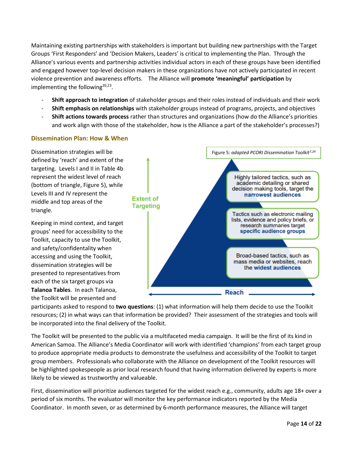Maintaining existing partnerships with stakeholders is important but building new partnerships with the Target Groups 'First Responders' and 'Decision Makers, Leaders' is critical to implementing the Plan. Through the Alliance's various events and partnership activities individual actors in each of these groups have been identified and engaged however top-level decision makers in these organizations have not actively participated in recent violence prevention and awareness efforts. The Alliance will **promote 'meaningful' participation** by implementing the following<sup>20,23</sup>.

- **Shift approach to integration** of stakeholder groups and their roles instead of individuals and their work
- **Shift emphasis on relationships** with stakeholder groups instead of programs, projects, and objectives
- **Shift actions towards process** rather than structures and organizations (how do the Alliance's priorities and work align with those of the stakeholder, how is the Alliance a part of the stakeholder's processes?)

### **Dissemination Plan: How & When**

Dissemination strategies will be defined by 'reach' and extent of the targeting. Levels I and II in Table 4b represent the widest level of reach (bottom of triangle, Figure 5), while Levels III and IV represent the middle and top areas of the triangle.

Keeping in mind context, and target groups' need for accessibility to the Toolkit, capacity to use the Toolkit, and safety/confidentality when accessing and using the Toolkit, dissemination strategies will be presented to representatives from each of the six target groups via **Talanoa Tables**. In each Talanoa, the Toolkit will be presented and



participants asked to respond to **two questions**: (1) what information will help them decide to use the Toolkit resources; (2) in what ways can that information be provided? Their assessment of the strategies and tools will be incorporated into the final delivery of the Toolkit.

The Toolkit will be presented to the public via a multifaceted media campaign. It will be the first of its kind in American Samoa. The Alliance's Media Coordinator will work with identified 'champions' from each target group to produce appropriate media products to demonstrate the usefulness and accessibility of the Toolkit to target group members. Professionals who collaborate with the Alliance on development of the Toolkit resources will be highlighted spokespeople as prior local research found that having information delivered by experts is more likely to be viewed as trustworthy and valueable.

First, dissemination will prioritize audiences targeted for the widest reach e.g., community, adults age 18+ over a period of six months. The evaluator will monitor the key performance indicators reported by the Media Coordinator. In month seven, or as determined by 6-month performance measures, the Alliance will target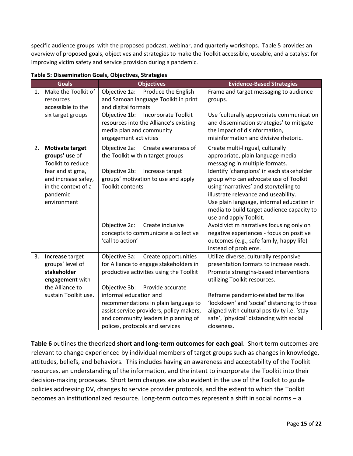specific audience groups with the proposed podcast, webinar, and quarterly workshops. Table 5 provides an overview of proposed goals, objectives and strategies to make the Toolkit accessible, useable, and a catalyst for improving victim safety and service provision during a pandemic.

|    | <b>Goals</b>           | <b>Objectives</b>                        | <b>Evidence-Based Strategies</b>            |
|----|------------------------|------------------------------------------|---------------------------------------------|
| 1. | Make the Toolkit of    | Produce the English<br>Objective 1a:     | Frame and target messaging to audience      |
|    | resources              | and Samoan language Toolkit in print     | groups.                                     |
|    | accessible to the      | and digital formats                      |                                             |
|    | six target groups      | Objective 1b:<br>Incorporate Toolkit     | Use 'culturally appropriate communication   |
|    |                        | resources into the Alliance's existing   | and dissemination strategies' to mitigate   |
|    |                        | media plan and community                 | the impact of disinformation,               |
|    |                        | engagement activities                    | misinformation and divisive rhetoric.       |
| 2. | <b>Motivate target</b> | Objective 2a:<br>Create awareness of     | Create multi-lingual, culturally            |
|    | groups' use of         | the Toolkit within target groups         | appropriate, plain language media           |
|    | Toolkit to reduce      |                                          | messaging in multiple formats.              |
|    | fear and stigma,       | Objective 2b:<br>Increase target         | Identify 'champions' in each stakeholder    |
|    | and increase safey,    | groups' motivation to use and apply      | group who can advocate use of Toolkit       |
|    | in the context of a    | <b>Toolkit contents</b>                  | using 'narratives' and storytelling to      |
|    | pandemic               |                                          | illustrate relevance and useability.        |
|    | environment            |                                          | Use plain language, informal education in   |
|    |                        |                                          | media to build target audience capacity to  |
|    |                        |                                          | use and apply Toolkit.                      |
|    |                        | Objective 2c:<br>Create inclusive        | Avoid victim narratives focusing only on    |
|    |                        | concepts to communicate a collective     | negative experiences - focus on positive    |
|    |                        | 'call to action'                         | outcomes (e.g., safe family, happy life)    |
|    |                        |                                          | instead of problems.                        |
| 3. | Increase target        | Objective 3a:<br>Create opportunities    | Utilize diverse, culturally responsive      |
|    | groups' level of       | for Alliance to engage stakeholders in   | presentation formats to increase reach.     |
|    | stakeholder            | productive activities using the Toolkit  | Promote strengths-based interventions       |
|    | engagement with        |                                          | utilizing Toolkit resources.                |
|    | the Alliance to        | Objective 3b: Provide accurate           |                                             |
|    | sustain Toolkit use.   | informal education and                   | Reframe pandemic-related terms like         |
|    |                        | recommendations in plain language to     | 'lockdown' and 'social' distancing to those |
|    |                        | assist service providers, policy makers, | aligned with cultural positivity i.e. 'stay |
|    |                        | and community leaders in planning of     | safe', 'physical' distancing with social    |
|    |                        | polices, protocols and services          | closeness.                                  |

**Table 5: Dissemination Goals, Objectives, Strategies**

**Table 6** outlines the theorized **short and long-term outcomes for each goal**. Short term outcomes are relevant to change experienced by individual members of target groups such as changes in knowledge, attitudes, beliefs, and behaviors. This includes having an awareness and acceptability of the Toolkit resources, an understanding of the information, and the intent to incorporate the Toolkit into their decision-making processes. Short term changes are also evident in the use of the Toolkit to guide policies addressing DV, changes to service provider protocols, and the extent to which the Toolkit becomes an institutionalized resource. Long-term outcomes represent a shift in social norms – a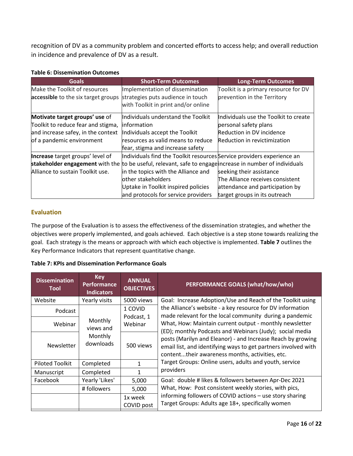recognition of DV as a community problem and concerted efforts to access help; and overall reduction in incidence and prevalence of DV as a result.

### **Table 6: Dissemination Outcomes**

| <b>Goals</b>                        | <b>Short-Term Outcomes</b>                                                                               | <b>Long-Term Outcomes</b>             |
|-------------------------------------|----------------------------------------------------------------------------------------------------------|---------------------------------------|
| Make the Toolkit of resources       | Implementation of dissemination                                                                          | Toolkit is a primary resource for DV  |
| accessible to the six target groups | strategies puts audience in touch                                                                        | prevention in the Territory           |
|                                     | with Toolkit in print and/or online                                                                      |                                       |
| Motivate target groups' use of      | Individuals understand the Toolkit                                                                       | Individuals use the Toolkit to create |
| Toolkit to reduce fear and stigma,  | linformation                                                                                             | personal safety plans                 |
| and increase safey, in the context  | Individuals accept the Toolkit                                                                           | Reduction in DV incidence             |
| of a pandemic environment           | resources as valid means to reduce                                                                       | Reduction in revictimization          |
|                                     | fear, stigma and increase safety                                                                         |                                       |
| Increase target groups' level of    | Individuals find the Toolkit resources Service providers experience an                                   |                                       |
|                                     | stakeholder engagement with the to be useful, relevant, safe to engage increase in number of individuals |                                       |
| Alliance to sustain Toolkit use.    | in the topics with the Alliance and                                                                      | seeking their assistance              |
|                                     | other stakeholders                                                                                       | The Alliance receives consistent      |
|                                     | Uptake in Toolkit inspired policies                                                                      | attendance and participation by       |
|                                     | and protocols for service providers                                                                      | target groups in its outreach         |

### **Evaluation**

The purpose of the Evaluation is to assess the effectiveness of the dissemination strategies, and whether the objectives were properly implemented, and goals achieved. Each objective is a step stone towards realizing the goal. Each strategy is the means or approach with which each objective is implemented. **Table 7** outlines the Key Performance Indicators that represent quantitative change.

| <b>Table 7: KPIs and Dissemination Performance Goals</b> |
|----------------------------------------------------------|
|----------------------------------------------------------|

| <b>Dissemination</b><br><b>Tool</b> | <b>Key</b><br><b>Performance</b><br><b>Indicators</b> | <b>ANNUAL</b><br><b>OBJECTIVES</b> | PERFORMANCE GOALS (what/how/who)                                                                                                                                                                                                                                                                                                                                                                                                 |
|-------------------------------------|-------------------------------------------------------|------------------------------------|----------------------------------------------------------------------------------------------------------------------------------------------------------------------------------------------------------------------------------------------------------------------------------------------------------------------------------------------------------------------------------------------------------------------------------|
| Website                             | Yearly visits                                         | 5000 views                         | Goal: Increase Adoption/Use and Reach of the Toolkit using                                                                                                                                                                                                                                                                                                                                                                       |
| Podcast                             | Monthly<br>views and<br>Monthly<br>downloads          | 1 COVID<br>Podcast, 1              | the Alliance's website - a key resource for DV information<br>made relevant for the local community during a pandemic<br>What, How: Maintain current output - monthly newsletter<br>(ED); monthly Podcasts and Webinars (Judy); social media<br>posts (Marilyn and Eleanor) - and Increase Reach by growing<br>email list, and identifying ways to get partners involved with<br>contenttheir awareness months, activities, etc. |
| Webinar                             |                                                       | Webinar                            |                                                                                                                                                                                                                                                                                                                                                                                                                                  |
| <b>Newsletter</b>                   |                                                       | 500 views                          |                                                                                                                                                                                                                                                                                                                                                                                                                                  |
| Piloted Toolkit                     | Completed                                             | 1                                  | Target Groups: Online users, adults and youth, service                                                                                                                                                                                                                                                                                                                                                                           |
| Manuscript                          | Completed                                             | 1                                  | providers                                                                                                                                                                                                                                                                                                                                                                                                                        |
| Facebook                            | Yearly 'Likes'                                        | 5,000                              | Goal: double # likes & followers between Apr-Dec 2021                                                                                                                                                                                                                                                                                                                                                                            |
|                                     | # followers                                           | 5,000                              | What, How: Post consistent weekly stories, with pics,<br>informing followers of COVID actions - use story sharing<br>Target Groups: Adults age 18+, specifically women                                                                                                                                                                                                                                                           |
|                                     |                                                       | 1x week<br>COVID post              |                                                                                                                                                                                                                                                                                                                                                                                                                                  |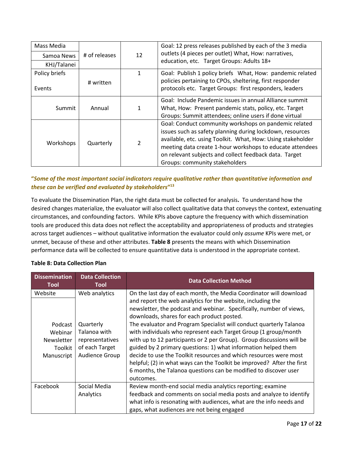| Mass Media    |               |              | Goal: 12 press releases published by each of the 3 media    |
|---------------|---------------|--------------|-------------------------------------------------------------|
| Samoa News    | # of releases | 12           | outlets (4 pieces per outlet) What, How: narratives,        |
| KHJ/Talanei   |               |              | education, etc. Target Groups: Adults 18+                   |
| Policy briefs |               | $\mathbf{1}$ | Goal: Publish 1 policy briefs What, How: pandemic related   |
|               | # written     |              | policies pertaining to CPOs, sheltering, first responder    |
| Events        |               |              | protocols etc. Target Groups: first responders, leaders     |
|               |               |              | Goal: Include Pandemic issues in annual Alliance summit     |
| Summit        | Annual        | 1            | What, How: Present pandemic stats, policy, etc. Target      |
|               |               |              | Groups: Summit attendees; online users if done virtual      |
| Workshops     | Quarterly     |              | Goal: Conduct community workshops on pandemic related       |
|               |               |              | issues such as safety planning during lockdown, resources   |
|               |               | 2            | available, etc. using Toolkit. What, How: Using stakeholder |
|               |               |              | meeting data create 1-hour workshops to educate attendees   |
|               |               |              | on relevant subjects and collect feedback data. Target      |
|               |               |              | Groups: community stakeholders                              |

### **"***Some of the most important social indicators require qualitative rather than quantitative information and these can be verified and evaluated by stakeholders***" 13**

To evaluate the Dissemination Plan, the right data must be collected for analysis**.** To understand how the desired changes materialize, the evaluator will also collect qualitative data that conveys the context, extenuating circumstances, and confounding factors. While KPIs above capture the frequency with which dissemination tools are produced this data does not reflect the acceptability and appropriateness of products and strategies across target audiences – without qualitative information the evaluator could only *assume* KPIs were met, or unmet, because of these and other attributes. **Table 8** presents the means with which Dissemination performance data will be collected to ensure quantitative data is understood in the appropriate context.

### **Table 8: Data Collection Plan**

| <b>Dissemination</b><br>Tool | <b>Data Collection</b><br>Tool | <b>Data Collection Method</b>                                          |
|------------------------------|--------------------------------|------------------------------------------------------------------------|
| Website                      | Web analytics                  | On the last day of each month, the Media Coordinator will download     |
|                              |                                | and report the web analytics for the website, including the            |
|                              |                                | newsletter, the podcast and webinar. Specifically, number of views,    |
|                              |                                | downloads, shares for each product posted.                             |
| Podcast                      | Quarterly                      | The evaluator and Program Specialist will conduct quarterly Talanoa    |
| Webinar                      | Talanoa with                   | with individuals who represent each Target Group (1 group/month        |
| Newsletter                   | representatives                | with up to 12 participants or 2 per Group). Group discussions will be  |
| Toolkit                      | of each Target                 | guided by 2 primary questions: 1) what information helped them         |
| Manuscript                   | Audience Group                 | decide to use the Toolkit resources and which resources were most      |
|                              |                                | helpful; (2) in what ways can the Toolkit be improved? After the first |
|                              |                                | 6 months, the Talanoa questions can be modified to discover user       |
|                              |                                | outcomes.                                                              |
| Facebook                     | Social Media                   | Review month-end social media analytics reporting; examine             |
|                              | Analytics                      | feedback and comments on social media posts and analyze to identify    |
|                              |                                | what info is resonating with audiences, what are the info needs and    |
|                              |                                | gaps, what audiences are not being engaged                             |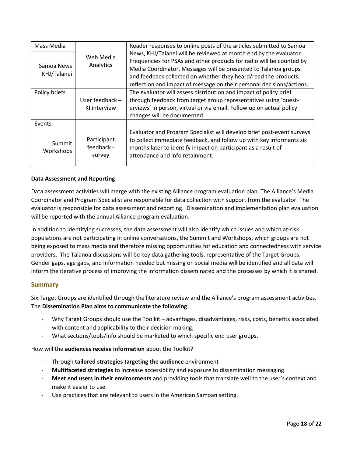| Mass Media          |                                     | Reader responses to online posts of the articles submitted to Samoa                                                                                                                                                                                |
|---------------------|-------------------------------------|----------------------------------------------------------------------------------------------------------------------------------------------------------------------------------------------------------------------------------------------------|
| Samoa News          | Web Media<br>Analytics              | News, KHJ/Talanei will be reviewed at month end by the evaluator.                                                                                                                                                                                  |
|                     |                                     | Frequencies for PSAs and other products for radio will be counted by                                                                                                                                                                               |
| KHJ/Talanei         |                                     | Media Coordinator. Messages will be presented to Talanoa groups                                                                                                                                                                                    |
|                     |                                     | and feedback collected on whether they heard/read the products,                                                                                                                                                                                    |
|                     |                                     | reflection and impact of message on their personal decisions/actions.                                                                                                                                                                              |
| Policy briefs       |                                     | The evaluator will assess distribution and impact of policy brief                                                                                                                                                                                  |
|                     | User feedback -                     | through feedback from target group representatives using 'quest-                                                                                                                                                                                   |
|                     | KI interview                        | erviews' in person, virtual or via email. Follow up on actual policy                                                                                                                                                                               |
|                     |                                     | changes will be documented.                                                                                                                                                                                                                        |
| Events              |                                     |                                                                                                                                                                                                                                                    |
| Summit<br>Workshops | Participant<br>feedback -<br>survey | Evaluator and Program Specialist will develop brief post-event surveys<br>to collect immediate feedback, and follow up with key informants six<br>months later to identify impact on participant as a result of<br>attendance and info retainment. |

### **Data Assessment and Reporting**

Data assessment activities will merge with the existing Alliance program evaluation plan. The Alliance's Media Coordinator and Program Specialist are responsible for data collection with support from the evaluator. The evaluator is responsible for data assessment and reporting. Dissemination and implementation plan evaluation will be reported with the annual Alliance program evaluation.

In addition to identifying successes, the data assessment will also identify which issues and which at-risk populations are not participating in online conversations, the Summit and Workshops, which groups are not being exposed to mass media and therefore missing opportunities for education and connectedness with service providers. The Talanoa discussions will be key data gathering tools, representative of the Target Groups. Gender gaps, age gaps, and information needed but missing on social media will be identified and all data will inform the iterative process of improving the information disseminated and the processes by which it is shared.

### **Summary**

Six Target Groups are identified through the literature review and the Alliance's program assessment activities. The **Dissemination Plan aims to communicate the following**:

- Why Target Groups should use the Toolkit advantages, disadvantages, risks, costs, benefits associated with content and applicability to their decision making;
- What sections/tools/info should be marketed to which specific end user groups.

How will the **audiences receive information** about the Toolkit?

- Through **tailored strategies targeting the audience** environment
- **Multifaceted strategies** to increase accessibility and exposure to dissemination messaging
- **Meet end users in their environments** and providing tools that translate well to the user's context and make it easier to use
- Use practices that are relevant to users in the American Samoan setting.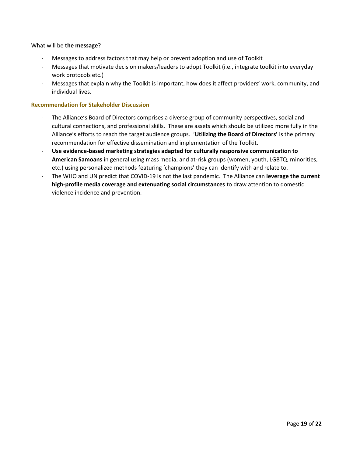### What will be **the message**?

- Messages to address factors that may help or prevent adoption and use of Toolkit
- Messages that motivate decision makers/leaders to adopt Toolkit (i.e., integrate toolkit into everyday work protocols etc.)
- Messages that explain why the Toolkit is important, how does it affect providers' work, community, and individual lives.

### **Recommendation for Stakeholder Discussion**

- The Alliance's Board of Directors comprises a diverse group of community perspectives, social and cultural connections, and professional skills. These are assets which should be utilized more fully in the Alliance's efforts to reach the target audience groups. '**Utilizing the Board of Directors'** is the primary recommendation for effective dissemination and implementation of the Toolkit.
- **Use evidence-based marketing strategies adapted for culturally responsive communication to American Samoans** in general using mass media, and at-risk groups (women, youth, LGBTQ, minorities, etc.) using personalized methods featuring 'champions' they can identify with and relate to.
- The WHO and UN predict that COVID-19 is not the last pandemic. The Alliance can **leverage the current high-profile media coverage and extenuating social circumstances** to draw attention to domestic violence incidence and prevention.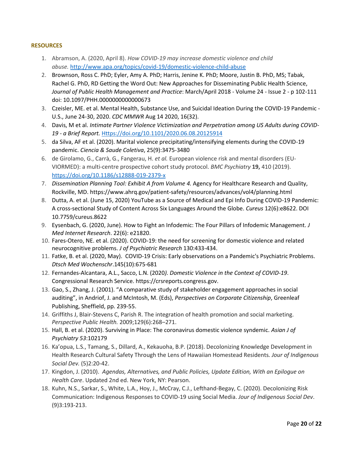### **RESOURCES**

- 1. Abramson, A. (2020, April 8). *How COVID-19 may increase domestic violence and child abuse.* <http://www.apa.org/topics/covid-19/domestic-violence-child-abuse>
- 2. Brownson, Ross C. PhD; Eyler, Amy A. PhD; Harris, Jenine K. PhD; Moore, Justin B. PhD, MS; Tabak, Rachel G. PhD, RD Getting the Word Out: New Approaches for Disseminating Public Health Science, *Journal of Public Health Management and Practice*: March/April 2018 - Volume 24 - Issue 2 - p 102-111 doi: 10.1097/PHH.0000000000000673
- 3. Czeisler, ME. et al. Mental Health, Substance Use, and Suicidal Ideation During the COVID-19 Pandemic U.S., June 24-30, 2020. *CDC MMWR* Aug 14 2020, 16(32).
- 4. Davis, M et al. *Intimate Partner Violence Victimization and Perpetration among US Adults during COVID-19 - a Brief Report.* [Https://doi.org/10.1101/2020.06.08.20125914](https://doi.org/10.1101/2020.06.08.20125914)
- 5. da Silva, AF et al. (2020). Marital violence precipitating/intensifying elements during the COVID-19 pandemic. *Ciencia & Saude Coletiva*, 25(9):3475-3480
- 6. de Girolamo, G., Carrà, G., Fangerau, H. *et al.* European violence risk and mental disorders (EU-VIORMED): a multi-centre prospective cohort study protocol. *BMC Psychiatry* **19,** 410 (2019). <https://doi.org/10.1186/s12888-019-2379-x>
- 7. *Dissemination Planning Tool: Exhibit A from Volume 4.* Agency for Healthcare Research and Quality, Rockville, MD. https://www.ahrq.gov/patient-safety/resources/advances/vol4/planning.html
- 8. Dutta, A. et al. (June 15, 2020) YouTube as a Source of Medical and Epi Info During COVID-19 Pandemic: A cross-sectional Study of Content Across Six Languages Around the Globe. *Cureus* 12(6):e8622. DOI 10.7759/cureus.8622
- 9. Eysenbach, G. (2020, June). How to Fight an Infodemic: The Four Pillars of Infodemic Management*. J Med Internet Research*. 22(6): e21820.
- 10. Fares-Otero, NE. et al. (2020). COVID-19: the need for screening for domestic violence and related neurocognitive problems. *J of Psychiatric Research* 130:433-434.
- 11. Fatke, B. et al. (2020, May). COVID-19 Crisis: Early observations on a Pandemic's Psychiatric Problems. *Dtsch Med Wochenschr*.145(10):675-681
- 12. Fernandes-Alcantara, A.L., Sacco, L.N. (2020*). Domestic Violence in the Context of COVID-19*. Congressional Research Service. https://crsreports.congress.gov.
- 13. Gao, S., Zhang, J. (2001). "A comparative study of stakeholder engagement approaches in social auditing", in Andriof, J. and McIntosh, M. (Eds), *Perspectives on Corporate Citizenship*, Greenleaf Publishing, Sheffield, pp. 239-55.
- 14. Griffiths J, Blair-Stevens C, Parish R. The integration of health promotion and social marketing. *Perspective Public Health.* 2009;129(6):268–271.
- 15. Hall, B. et al. (2020). Surviving in Place: The coronavirus domestic violence syndemic. *Asian J of Psychiatry 53*:102179
- 16. Ka'opua, L.S., Tamang, S., Dillard, A., Kekauoha, B.P. (2018). Decolonizing Knowledge Development in Health Research Cultural Safety Through the Lens of Hawaiian Homestead Residents*. Jour of Indigenous Social Dev.* (5)2:20-42.
- 17. Kingdon, J. (2010). *Agendas, Alternatives, and Public Policies, Update Edition, With an Epilogue on Health Care*. Updated 2nd ed. New York, NY: Pearson.
- 18. Kuhn, N.S., Sarkar, S., White, L.A., Hoy, J., McCray, C.J., Lefthand-Begay, C. (2020). Decolonizing Risk Communication: Indigenous Responses to COVID-19 using Social Media. *Jour of Indigenous Social Dev*. (9)3:193-213.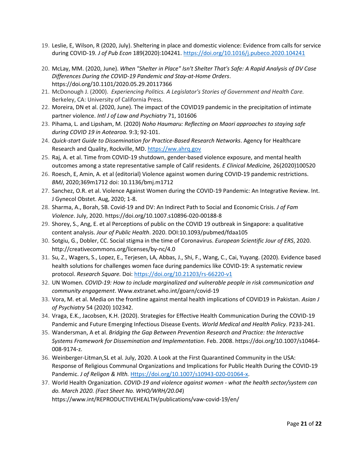- 19. Leslie, E, Wilson, R (2020, July). Sheltering in place and domestic violence: Evidence from calls for service during COVID-19*. J of Pub Econ* 189(2020):104241.<https://doi.org/10.1016/j.pubeco.2020.104241>
- 20. McLay, MM. (2020, June). *When "Shelter in Place" Isn't Shelter That's Safe: A Rapid Analysis of DV Case Differences During the COVID-19 Pandemic and Stay-at-Home Orders*. https://doi.org/10.1101/2020.05.29.20117366
- 21. McDonough J. (2000). *Experiencing Politics. A Legislator's Stories of Government and Health Care.* Berkeley, CA: University of California Press.
- 22. Moreira, DN et al. (2020, June). The impact of the COVID19 pandemic in the precipitation of intimate partner violence. *Intl J of Law and Psychiatry* 71, 101606
- 23. Pihama, L. and Lipsham, M. (2020) *Noho Haumaru: Reflecting on Maori approaches to staying safe during COVID 19 in Aotearoa.* 9:3; 92-101.
- 24. *Quick-start Guide to Dissemination for Practice-Based Research Networks*. Agency for Healthcare Research and Quality, Rockville, MD. [https://ww.ahrq.gov](https://ww.ahrq.gov/)
- 25. Raj, A. et al. Time from COVID-19 shutdown, gender-based violence exposure, and mental health outcomes among a state representative sample of Calif residents. *E Clinical Medicine,* 26(2020)100520
- 26. Roesch, E, Amin, A. et al (editorial) Violence against women during COVID-19 pandemic restrictions. *BMJ*, 2020;369m1712 doi: 10.1136/bmj.m1712
- 27. Sanchez, O.R. et al. Violence Against Women during the COVID-19 Pandemic: An Integrative Review. Int. J Gynecol Obstet. Aug, 2020; 1-8.
- 28. Sharma, A., Borah, SB. Covid-19 and DV: An Indirect Path to Social and Economic Crisis. *J of Fam Violence*. July, 2020. https://doi.org/10.1007.s10896-020-00188-8
- 29. Shorey, S., Ang, E. et al Perceptions of public on the COVID 19 outbreak in Singapore: a qualitative content analysis. *Jour of Public Health*. 2020. DOI:10.1093/pubmed/fdaa105
- 30. Sotgiu, G., Dobler, CC. Social stigma in the time of Coronavirus. *European Scientific Jour of ERS*, 2020. http://creativecommons.org/licenses/by-nc/4.0
- 31. Su, Z., Wagers, S., Lopez, E., Terjesen, LA, Abbas, J., Shi, F., Wang, C., Cai, Yuyang. (2020). Evidence based health solutions for challenges women face during pandemics like COVID-19: A systematic review protocol. *Research Square.* Doi:<https://doi.org/10.21203/rs-66220-v1>
- 32. UN Women*. COVID-19: How to include marginalized and vulnerable people in risk communication and community engagement*. Www.extranet.who.int/goarn/covid-19
- 33. Vora, M. et al. Media on the frontline against mental health implications of COVID19 in Pakistan. *Asian J of Psychiatry* 54 (2020) 102342.
- 34. Vraga, E.K., Jacobsen, K.H. (2020). Strategies for Effective Health Communication During the COVID-19 Pandemic and Future Emerging Infectious Disease Events. *World Medical and Health Policy*. P233-241.
- 35. Wandersman, A et al. *Bridging the Gap Between Prevention Research and Practice: the Interactive Systems Framework for Dissemination and Implementation*. Feb. 2008. https://doi.org/10.1007/s10464- 008-9174-z.
- 36. Weinberger-Litman,SL et al. July, 2020. A Look at the First Quarantined Community in the USA: Response of Religious Communal Organizations and Implications for Public Health During the COVID-19 Pandemic. *J of Religon & Hlth.* [Https://doi.org/10.1007/s10943-020-01064-x.](https://doi.org/10.1007/s10943-020-01064-x)
- 37. World Health Organization. *COVID-19 and violence against women - what the health sector/system can do. March 2020. (Fact Sheet No. WHO/WRH/20.04*) https://www.int/REPRODUCTIVEHEALTH/publications/vaw-covid-19/en/